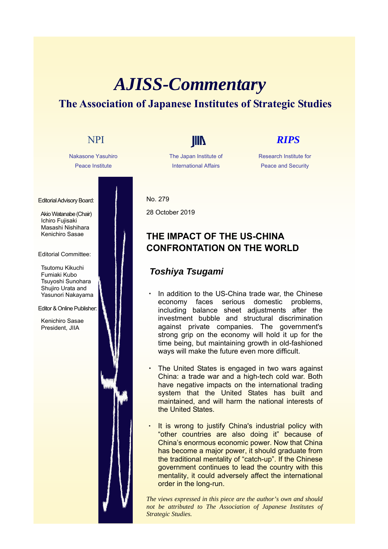# *AJISS-Commentary* **The Association of Japanese Institutes of Strategic Studies**

Nakasone Yasuhiro Peace Institute

Editorial Advisory Board:

Akio Watanabe (Chair) Ichiro Fujisaki Masashi Nishihara Kenichiro Sasae

### Editorial Committee:

Tsutomu Kikuchi Fumiaki Kubo Tsuyoshi Sunohara Shujiro Urata and Yasunori Nakayama

Editor & Online Publisher:

Kenichiro Sasae President, JIIA

The Japan Institute of International Affairs

## NPI **IIII** *RIPS*

Research Institute for Peace and Security

No. 279 28 October 2019

### **THE IMPACT OF THE US-CHINA CONFRONTATION ON THE WORLD**

### *Toshiya Tsugami*

- In addition to the US-China trade war, the Chinese economy faces serious domestic problems, including balance sheet adjustments after the investment bubble and structural discrimination against private companies. The government's strong grip on the economy will hold it up for the time being, but maintaining growth in old-fashioned ways will make the future even more difficult.
- The United States is engaged in two wars against China: a trade war and a high-tech cold war. Both have negative impacts on the international trading system that the United States has built and maintained, and will harm the national interests of the United States.
- It is wrong to justify China's industrial policy with "other countries are also doing it" because of China's enormous economic power. Now that China has become a major power, it should graduate from the traditional mentality of "catch-up". If the Chinese government continues to lead the country with this mentality, it could adversely affect the international order in the long-run.

*The views expressed in this piece are the author's own and should not be attributed to The Association of Japanese Institutes of Strategic Studies.*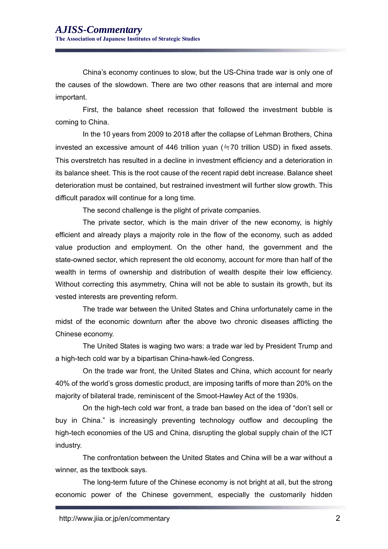China's economy continues to slow, but the US-China trade war is only one of the causes of the slowdown. There are two other reasons that are internal and more important.

First, the balance sheet recession that followed the investment bubble is coming to China.

In the 10 years from 2009 to 2018 after the collapse of Lehman Brothers, China invested an excessive amount of 446 trillion yuan ( $\div$ 70 trillion USD) in fixed assets. This overstretch has resulted in a decline in investment efficiency and a deterioration in its balance sheet. This is the root cause of the recent rapid debt increase. Balance sheet deterioration must be contained, but restrained investment will further slow growth. This difficult paradox will continue for a long time.

The second challenge is the plight of private companies.

The private sector, which is the main driver of the new economy, is highly efficient and already plays a majority role in the flow of the economy, such as added value production and employment. On the other hand, the government and the state-owned sector, which represent the old economy, account for more than half of the wealth in terms of ownership and distribution of wealth despite their low efficiency. Without correcting this asymmetry, China will not be able to sustain its growth, but its vested interests are preventing reform.

The trade war between the United States and China unfortunately came in the midst of the economic downturn after the above two chronic diseases afflicting the Chinese economy.

The United States is waging two wars: a trade war led by President Trump and a high-tech cold war by a bipartisan China-hawk-led Congress.

On the trade war front, the United States and China, which account for nearly 40% of the world's gross domestic product, are imposing tariffs of more than 20% on the majority of bilateral trade, reminiscent of the Smoot-Hawley Act of the 1930s.

On the high-tech cold war front, a trade ban based on the idea of "don't sell or buy in China." is increasingly preventing technology outflow and decoupling the high-tech economies of the US and China, disrupting the global supply chain of the ICT industry.

The confrontation between the United States and China will be a war without a winner, as the textbook says.

The long-term future of the Chinese economy is not bright at all, but the strong economic power of the Chinese government, especially the customarily hidden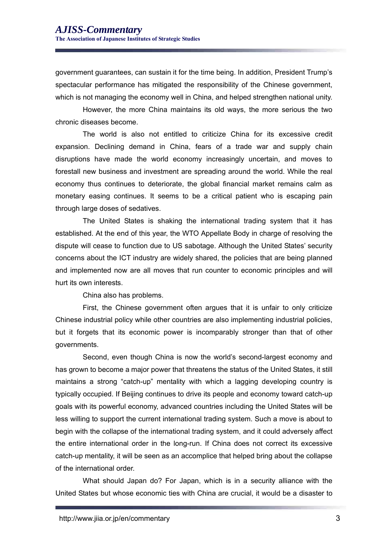government guarantees, can sustain it for the time being. In addition, President Trump's spectacular performance has mitigated the responsibility of the Chinese government, which is not managing the economy well in China, and helped strengthen national unity.

However, the more China maintains its old ways, the more serious the two chronic diseases become.

The world is also not entitled to criticize China for its excessive credit expansion. Declining demand in China, fears of a trade war and supply chain disruptions have made the world economy increasingly uncertain, and moves to forestall new business and investment are spreading around the world. While the real economy thus continues to deteriorate, the global financial market remains calm as monetary easing continues. It seems to be a critical patient who is escaping pain through large doses of sedatives.

The United States is shaking the international trading system that it has established. At the end of this year, the WTO Appellate Body in charge of resolving the dispute will cease to function due to US sabotage. Although the United States' security concerns about the ICT industry are widely shared, the policies that are being planned and implemented now are all moves that run counter to economic principles and will hurt its own interests.

China also has problems.

First, the Chinese government often argues that it is unfair to only criticize Chinese industrial policy while other countries are also implementing industrial policies, but it forgets that its economic power is incomparably stronger than that of other governments.

Second, even though China is now the world's second-largest economy and has grown to become a major power that threatens the status of the United States, it still maintains a strong "catch-up" mentality with which a lagging developing country is typically occupied. If Beijing continues to drive its people and economy toward catch-up goals with its powerful economy, advanced countries including the United States will be less willing to support the current international trading system. Such a move is about to begin with the collapse of the international trading system, and it could adversely affect the entire international order in the long-run. If China does not correct its excessive catch-up mentality, it will be seen as an accomplice that helped bring about the collapse of the international order.

What should Japan do? For Japan, which is in a security alliance with the United States but whose economic ties with China are crucial, it would be a disaster to